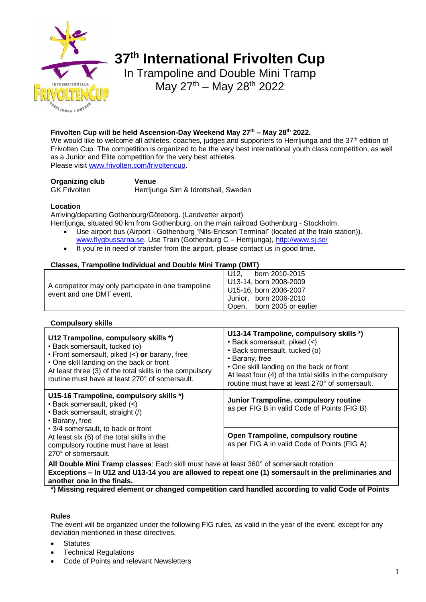

# **37 th International Frivolten Cup**

In Trampoline and Double Mini Tramp May  $27^{th}$  – May  $28^{th}$  2022

# **Frivolten Cup will be held Ascension-Day Weekend May 27th – May 28th 2022.**

We would like to welcome all athletes, coaches, judges and supporters to Herrljunga and the 37<sup>th</sup> edition of Frivolten Cup. The competition is organized to be the very best international youth class competition, as well as a Junior and Elite competition for the very best athletes.

Please visit [www.frivolten.com/frivoltencup.](http://www.frivolten.com/frivoltencup)

**Organizing club Venue**

GK Frivolten Herrljunga Sim & Idrottshall, Sweden

# **Location**

Arriving/departing Gothenburg/Göteborg. (Landvetter airport)

Herrljunga, situated 90 km from Gothenburg, on the main railroad Gothenburg - Stockholm.

- Use airport bus (Airport Gothenburg "Nils-Ericson Terminal" (located at the train station)). [www.flygbussarna.se.](http://www.flygbussarna.se/) Use Train (Gothenburg C – Herrljunga),<http://www.sj.se/>
- If you're in need of transfer from the airport, please contact us in good time.

# **Classes, Trampoline Individual and Double Mini Tramp (DMT)**

|                                                                                 |  | U12. | born 2010-2015             |
|---------------------------------------------------------------------------------|--|------|----------------------------|
| A competitor may only participate in one trampoline<br>event and one DMT event. |  |      | U13-14, born 2008-2009     |
|                                                                                 |  |      | U15-16, born 2006-2007     |
|                                                                                 |  |      | Junior, born 2006-2010     |
|                                                                                 |  |      | Open, born 2005 or earlier |

# **Compulsory skills**

| U12 Trampoline, compulsory skills *)<br>• Back somersault, tucked (o)<br>• Front somersault, piked $($ ) or barany, free<br>• One skill landing on the back or front<br>At least three (3) of the total skills in the compulsory<br>routine must have at least 270° of somersault. | U13-14 Trampoline, compulsory skills *)<br>• Back somersault, piked (<)<br>· Back somersault, tucked (o)<br>• Barany, free<br>• One skill landing on the back or front<br>At least four (4) of the total skills in the compulsory<br>routine must have at least 270° of somersault. |  |
|------------------------------------------------------------------------------------------------------------------------------------------------------------------------------------------------------------------------------------------------------------------------------------|-------------------------------------------------------------------------------------------------------------------------------------------------------------------------------------------------------------------------------------------------------------------------------------|--|
| U15-16 Trampoline, compulsory skills *)<br>• Back somersault, piked (<)<br>• Back somersault, straight (/)<br>• Barany, free                                                                                                                                                       | Junior Trampoline, compulsory routine<br>as per FIG B in valid Code of Points (FIG B)                                                                                                                                                                                               |  |
| • 3/4 somersault, to back or front<br>At least six (6) of the total skills in the<br>compulsory routine must have at least<br>270° of somersault.                                                                                                                                  | Open Trampoline, compulsory routine<br>as per FIG A in valid Code of Points (FIG A)                                                                                                                                                                                                 |  |
| All Double Mini Tramp classes: Each skill must have at least 360° of somersault rotation                                                                                                                                                                                           |                                                                                                                                                                                                                                                                                     |  |

**Exceptions – In U12 and U13-14 you are allowed to repeat one (1) somersault in the preliminaries and another one in the finals.**

**\*) Missing required element or changed competition card handled according to valid Code of Points**

# **Rules**

The event will be organized under the following FIG rules, as valid in the year of the event, except for any deviation mentioned in these directives.

- **Statutes**
- Technical Regulations
- Code of Points and relevant Newsletters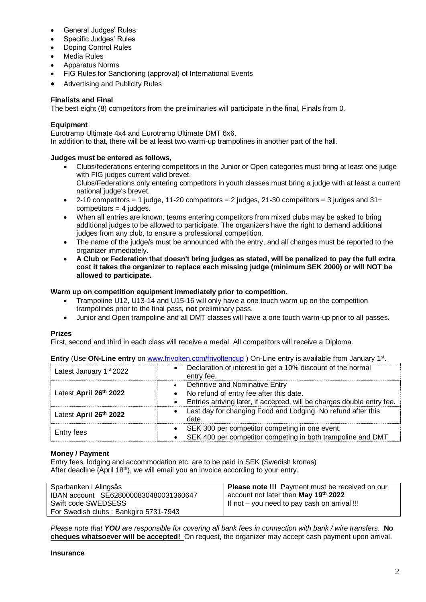- General Judges' Rules
- Specific Judges' Rules
- Doping Control Rules
- Media Rules
- Apparatus Norms
- FIG Rules for Sanctioning (approval) of International Events
- Advertising and Publicity Rules

# **Finalists and Final**

The best eight (8) competitors from the preliminaries will participate in the final, Finals from 0.

### **Equipment**

Eurotramp Ultimate 4x4 and Eurotramp Ultimate DMT 6x6. In addition to that, there will be at least two warm-up trampolines in another part of the hall.

# **Judges must be entered as follows,**

- Clubs/federations entering competitors in the Junior or Open categories must bring at least one judge with FIG judges current valid brevet. Clubs/Federations only entering competitors in youth classes must bring a judge with at least a current national judge's brevet.
- 2-10 competitors = 1 judge, 11-20 competitors = 2 judges, 21-30 competitors = 3 judges and  $31+$  $connectitors = 4 judges.$
- When all entries are known, teams entering competitors from mixed clubs may be asked to bring additional judges to be allowed to participate. The organizers have the right to demand additional judges from any club, to ensure a professional competition.
- The name of the judge/s must be announced with the entry, and all changes must be reported to the organizer immediately.
- **A Club or Federation that doesn't bring judges as stated, will be penalized to pay the full extra cost it takes the organizer to replace each missing judge (minimum SEK 2000) or will NOT be allowed to participate.**

#### **Warm up on competition equipment immediately prior to competition.**

- Trampoline U12, U13-14 and U15-16 will only have a one touch warm up on the competition trampolines prior to the final pass, **not** preliminary pass.
- Junior and Open trampoline and all DMT classes will have a one touch warm-up prior to all passes.

# **Prizes**

First, second and third in each class will receive a medal. All competitors will receive a Diploma.

|                                     | <b>LINE &amp; ON LINE CHILD</b> ON WWW.INVULCH.COM/INVULCHCUP TO TELITS SHIP OF ARRIGUIS HOM JAHUATY T.                                                                        |
|-------------------------------------|--------------------------------------------------------------------------------------------------------------------------------------------------------------------------------|
| Latest January 1 <sup>st</sup> 2022 | Declaration of interest to get a 10% discount of the normal<br>$\bullet$<br>entry fee.                                                                                         |
| Latest April 26th 2022              | Definitive and Nominative Entry<br>$\bullet$<br>No refund of entry fee after this date.<br>$\bullet$<br>Entries arriving later, if accepted, will be charges double entry fee. |
| Latest April 26th 2022              | Last day for changing Food and Lodging. No refund after this<br>date.                                                                                                          |
| Entry fees                          | SEK 300 per competitor competing in one event.<br>SEK 400 per competitor competing in both trampoline and DMT                                                                  |

**Entry** (Use ON-Line entry on [www.frivolten.com/frivoltencup](http://www.frivolten.com/frivoltencup)) On-Line entry is available from January 1<sup>st</sup>.

#### **Money / Payment**

Entry fees, lodging and accommodation etc. are to be paid in SEK (Swedish kronas) After deadline (April 18<sup>th</sup>), we will email you an invoice according to your entry.

| Sparbanken i Alingsås<br>IBAN account SE6280000830480031360647 | Please note !!! Payment must be received on our<br>account not later then May 19 <sup>th</sup> 2022 |
|----------------------------------------------------------------|-----------------------------------------------------------------------------------------------------|
| Swift code SWEDSESS                                            | If not – you need to pay cash on arrival !!!                                                        |
| For Swedish clubs: Bankgiro 5731-7943                          |                                                                                                     |

*Please note that YOU are responsible for covering all bank fees in connection with bank / wire transfers.* **No cheques whatsoever will be accepted!** On request, the organizer may accept cash payment upon arrival.

#### **Insurance**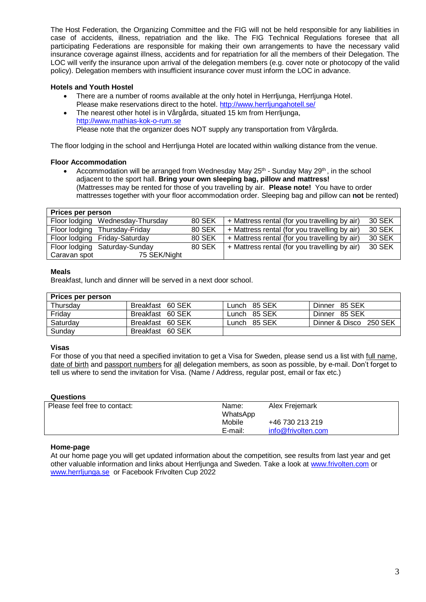The Host Federation, the Organizing Committee and the FIG will not be held responsible for any liabilities in case of accidents, illness, repatriation and the like. The FIG Technical Regulations foresee that all participating Federations are responsible for making their own arrangements to have the necessary valid insurance coverage against illness, accidents and for repatriation for all the members of their Delegation. The LOC will verify the insurance upon arrival of the delegation members (e.g. cover note or photocopy of the valid policy). Delegation members with insufficient insurance cover must inform the LOC in advance.

# **Hotels and Youth Hostel**

- There are a number of rooms available at the only hotel in Herrljunga, Herrljunga Hotel.
- Please make reservations direct to the hotel. <http://www.herrljungahotell.se/>
- The nearest other hotel is in Vårgårda, situated 15 km from Herrljunga, http://www.mathias-kok-o-rum.se Please note that the organizer does NOT supply any transportation from Vårgårda.

The floor lodging in the school and Herrljunga Hotel are located within walking distance from the venue.

# **Floor Accommodation**

• Accommodation will be arranged from Wednesday May 25<sup>th</sup> - Sunday May 29<sup>th</sup>, in the school adjacent to the sport hall. **Bring your own sleeping bag, pillow and mattress!** (Mattresses may be rented for those of you travelling by air. **Please note!** You have to order mattresses together with your floor accommodation order. Sleeping bag and pillow can **not** be rented)

| Prices per person |                                  |               |                                               |        |
|-------------------|----------------------------------|---------------|-----------------------------------------------|--------|
|                   | Floor lodging Wednesday-Thursday | 80 SEK        | + Mattress rental (for you travelling by air) | 30 SEK |
|                   | Floor lodging Thursday-Friday    | 80 SEK        | + Mattress rental (for you travelling by air) | 30 SEK |
|                   | Floor lodging Friday-Saturday    | <b>80 SEK</b> | + Mattress rental (for you travelling by air) | 30 SEK |
|                   | Floor lodging Saturday-Sunday    | <b>80 SEK</b> | + Mattress rental (for you travelling by air) | 30 SEK |
| Caravan spot      | 75 SEK/Night                     |               |                                               |        |

# **Meals**

Breakfast, lunch and dinner will be served in a next door school.

# **Prices per person**

| ו וועט וער ואין פאטוו |                  |              |                        |
|-----------------------|------------------|--------------|------------------------|
| Thursday              | Breakfast 60 SEK | Lunch 85 SEK | Dinner 85 SEK          |
| Friday                | Breakfast 60 SEK | Lunch 85 SEK | Dinner 85 SEK          |
| Saturdav              | Breakfast 60 SEK | Lunch 85 SEK | Dinner & Disco 250 SEK |
| Sundav                | Breakfast 60 SEK |              |                        |

# **Visas**

For those of you that need a specified invitation to get a Visa for Sweden, please send us a list with full name, date of birth and passport numbers for all delegation members, as soon as possible, by e-mail. Don't forget to tell us where to send the invitation for Visa. (Name / Address, regular post, email or fax etc.)

# **Questions**

| Please feel free to contact: | Name:    | Alex Frejemark     |
|------------------------------|----------|--------------------|
|                              | WhatsApp |                    |
|                              | Mobile   | +46 730 213 219    |
|                              | E-mail:  | info@frivolten.com |
|                              |          |                    |

# **Home-page**

At our home page you will get updated information about the competition, see results from last year and get other valuable information and links about Herrljunga and Sweden. Take a look at [www.frivolten.com](http://www.frivolten.com/) or [www.herrljunga.se](http://www.herrljunga.se/) or Facebook Frivolten Cup 2022